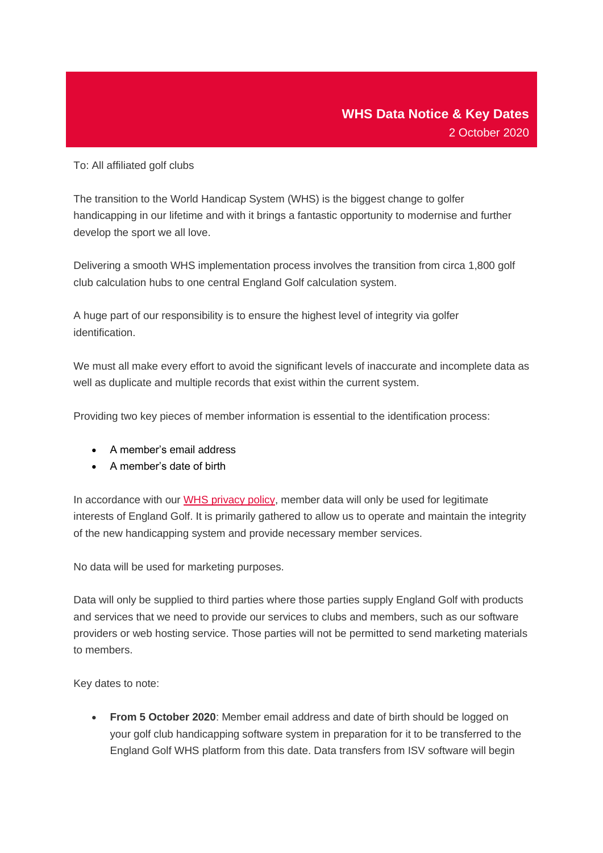To: All affiliated golf clubs

The transition to the World Handicap System (WHS) is the biggest change to golfer handicapping in our lifetime and with it brings a fantastic opportunity to modernise and further develop the sport we all love.

Delivering a smooth WHS implementation process involves the transition from circa 1,800 golf club calculation hubs to one central England Golf calculation system.

A huge part of our responsibility is to ensure the highest level of integrity via golfer identification.

We must all make every effort to avoid the significant levels of inaccurate and incomplete data as well as duplicate and multiple records that exist within the current system.

Providing two key pieces of member information is essential to the identification process:

- A member's email address
- A member's date of birth

In accordance with our [WHS privacy policy,](https://emailer.englandgolf.org/4ON0-XESQ-3C5GUE-R76EK-1/c.aspx) member data will only be used for legitimate interests of England Golf. It is primarily gathered to allow us to operate and maintain the integrity of the new handicapping system and provide necessary member services.

No data will be used for marketing purposes.

Data will only be supplied to third parties where those parties supply England Golf with products and services that we need to provide our services to clubs and members, such as our software providers or web hosting service. Those parties will not be permitted to send marketing materials to members.

Key dates to note:

• **From 5 October 2020**: Member email address and date of birth should be logged on your golf club handicapping software system in preparation for it to be transferred to the England Golf WHS platform from this date. Data transfers from ISV software will begin